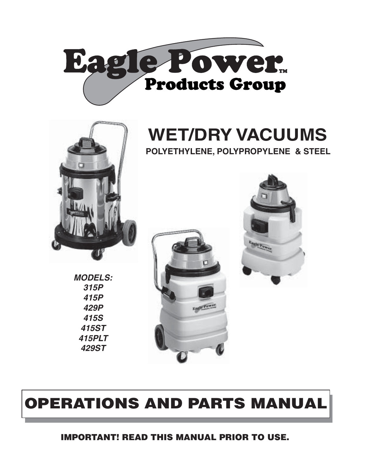



# **WET/DRY VACUUMS**









## **OPERATIONS AND PARTS MANUAL**

**IMPORTANT! READ THIS MANUAL PRIOR TO USE.**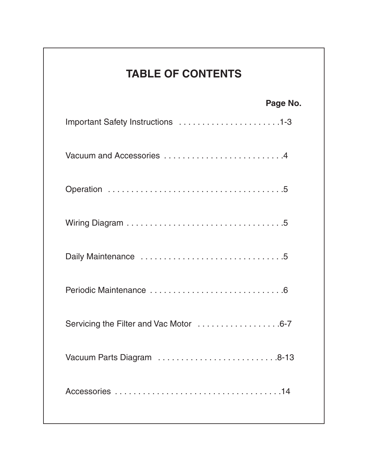## **TABLE OF CONTENTS**

## **Page No.**

| Daily Maintenance 5                    |
|----------------------------------------|
|                                        |
| Servicing the Filter and Vac Motor 6-7 |
|                                        |
|                                        |
|                                        |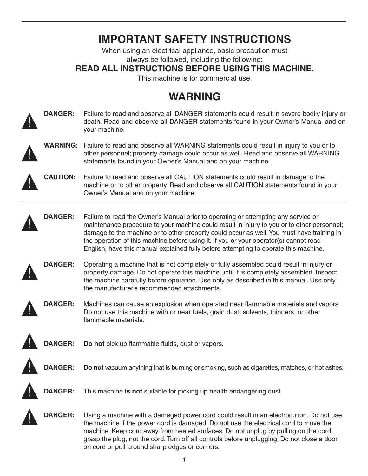## **IMPORTANT SAFETY INSTRUCTIONS**

When using an electrical appliance, basic precaution must always be followed, including the following:

## **READ ALL INSTRUCTIONS BEFORE USING THIS MACHINE.**

This machine is for commercial use.

## **WARNING**



**DANGER:** Failure to read and observe all DANGER statements could result in severe bodily injury or death. Read and observe all DANGER statements found in your Owner's Manual and on your machine.



<u>!</u>

**WARNING:** Failure to read and observe all WARNING statements could result in injury to you or to other personnel; property damage could occur as well. Read and observe all WARNING statements found in your Owner's Manual and on your machine.

**CAUTION:** Failure to read and observe all CAUTION statements could result in damage to the machine or to other property. Read and observe all CAUTION statements found in your Owner's Manual and on your machine.



**DANGER:** Failure to read the Owner's Manual prior to operating or attempting any service or maintenance procedure to your machine could result in injury to you or to other personnel; damage to the machine or to other property could occur as well. You must have training in the operation of this machine before using it. If you or your operator(s) cannot read English, have this manual explained fully before attempting to operate this machine.



**DANGER:** Operating a machine that is not completely or fully assembled could result in injury or property damage. Do not operate this machine until it is completely assembled. Inspect the machine carefully before operation. Use only as described in this manual. Use only the manufacturer's recommended attachments.



**DANGER:** Machines can cause an explosion when operated near flammable materials and vapors. Do not use this machine with or near fuels, grain dust, solvents, thinners, or other flammable materials.



**DANGER: Do not** pick up flammable fluids, dust or vapors.





**DANGER:** This machine **is not** suitable for picking up health endangering dust.



**DANGER:** Using a machine with a damaged power cord could result in an electrocution. Do not use the machine if the power cord is damaged. Do not use the electrical cord to move the machine. Keep cord away from heated surfaces. Do not unplug by pulling on the cord; grasp the plug, not the cord. Turn off all controls before unplugging. Do not close a door on cord or pull around sharp edges or corners.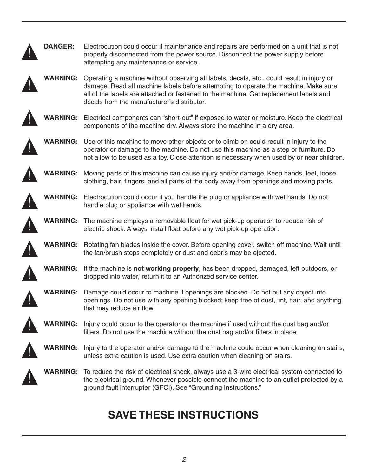| <b>DANGER:</b>  | Electrocution could occur if maintenance and repairs are performed on a unit that is not<br>properly disconnected from the power source. Disconnect the power supply before                                                                                                                                              |
|-----------------|--------------------------------------------------------------------------------------------------------------------------------------------------------------------------------------------------------------------------------------------------------------------------------------------------------------------------|
|                 | attempting any maintenance or service.                                                                                                                                                                                                                                                                                   |
| <b>WARNING:</b> | Operating a machine without observing all labels, decals, etc., could result in injury or<br>damage. Read all machine labels before attempting to operate the machine. Make sure<br>all of the labels are attached or fastened to the machine. Get replacement labels and<br>decals from the manufacturer's distributor. |
| <b>WARNING:</b> | Electrical components can "short-out" if exposed to water or moisture. Keep the electrical<br>components of the machine dry. Always store the machine in a dry area.                                                                                                                                                     |
| <b>WARNING:</b> | Use of this machine to move other objects or to climb on could result in injury to the<br>operator or damage to the machine. Do not use this machine as a step or furniture. Do<br>not allow to be used as a toy. Close attention is necessary when used by or near children.                                            |
| WARNING:        | Moving parts of this machine can cause injury and/or damage. Keep hands, feet, loose<br>clothing, hair, fingers, and all parts of the body away from openings and moving parts.                                                                                                                                          |
| <b>WARNING:</b> | Electrocution could occur if you handle the plug or appliance with wet hands. Do not<br>handle plug or appliance with wet hands.                                                                                                                                                                                         |
|                 | <b>WARNING:</b> The machine employs a removable float for wet pick-up operation to reduce risk of<br>electric shock. Always install float before any wet pick-up operation.                                                                                                                                              |
| <b>WARNING:</b> | Rotating fan blades inside the cover. Before opening cover, switch off machine. Wait until<br>the fan/brush stops completely or dust and debris may be ejected.                                                                                                                                                          |
| <b>WARNING:</b> | If the machine is not working properly, has been dropped, damaged, left outdoors, or<br>dropped into water, return it to an Authorized service center.                                                                                                                                                                   |
| <b>WARNING:</b> | Damage could occur to machine if openings are blocked. Do not put any object into<br>openings. Do not use with any opening blocked; keep free of dust, lint, hair, and anything<br>that may reduce air flow.                                                                                                             |
| <b>WARNING:</b> | Injury could occur to the operator or the machine if used without the dust bag and/or<br>filters. Do not use the machine without the dust bag and/or filters in place.                                                                                                                                                   |
| <b>WARNING:</b> | Injury to the operator and/or damage to the machine could occur when cleaning on stairs,<br>unless extra caution is used. Use extra caution when cleaning on stairs.                                                                                                                                                     |
| <b>WARNING:</b> | To reduce the risk of electrical shock, always use a 3-wire electrical system connected to<br>the electrical ground. Whenever possible connect the machine to an outlet protected by a<br>ground fault interrupter (GFCI). See "Grounding Instructions."                                                                 |

## **SAVE THESE INSTRUCTIONS**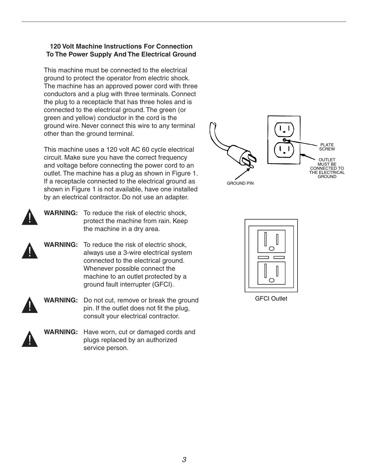## **120 Volt Machine Instructions For Connection To The Power Supply And The Electrical Ground**

This machine must be connected to the electrical ground to protect the operator from electric shock. The machine has an approved power cord with three conductors and a plug with three terminals. Connect the plug to a receptacle that has three holes and is connected to the electrical ground. The green (or green and yellow) conductor in the cord is the ground wire. Never connect this wire to any terminal other than the ground terminal.

This machine uses a 120 volt AC 60 cycle electrical circuit. Make sure you have the correct frequency and voltage before connecting the power cord to an outlet. The machine has a plug as shown in Figure 1. If a receptacle connected to the electrical ground as shown in Figure 1 is not available, have one installed by an electrical contractor. Do not use an adapter.



<u>|</u>

**WARNING:** To reduce the risk of electric shock, protect the machine from rain. Keep the machine in a dry area.

**WARNING:** To reduce the risk of electric shock, always use a 3-wire electrical system connected to the electrical ground. Whenever possible connect the machine to an outlet protected by a ground fault interrupter (GFCI).



**WARNING:** Do not cut, remove or break the ground pin. If the outlet does not fit the plug, consult your electrical contractor.



**WARNING:** Have worn, cut or damaged cords and plugs replaced by an authorized service person.





GFCI Outlet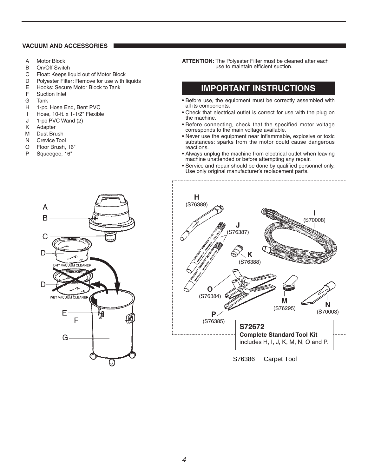#### **VACUUM AND ACCESSORIES**

- A Motor Block
- B On/Off Switch
- C Float: Keeps liquid out of Motor Block
- D Polyester Filter: Remove for use with liquids
- E Hooks: Secure Motor Block to Tank
- F Suction Inlet
- G Tank
- H 1-pc. Hose End, Bent PVC
- I Hose, 10-ft. x 1-1/2" Flexible
- J 1-pc PVC Wand (2)
- K Adapter
- M Dust Brush
- N Crevice Tool
- O Floor Brush, 16"
- P Squeegee, 16"

**ATTENTION:** The Polyester Filter must be cleaned after each use to maintain efficient suction.

## **IMPORTANT INSTRUCTIONS**

- **•** Before use, the equipment must be correctly assembled with all its components.
- **•** Check that electrical outlet is correct for use with the plug on the machine.
- **•** Before connecting, check that the specified motor voltage corresponds to the main voltage available.
- **•** Never use the equipment near inflammable, explosive or toxic substances: sparks from the motor could cause dangerous reactions.
- **•** Always unplug the machine from electrical outlet when leaving machine unattended or before attempting any repair.
- **•** Service and repair should be done by qualified personnel only. Use only original manufacturer's replacement parts.



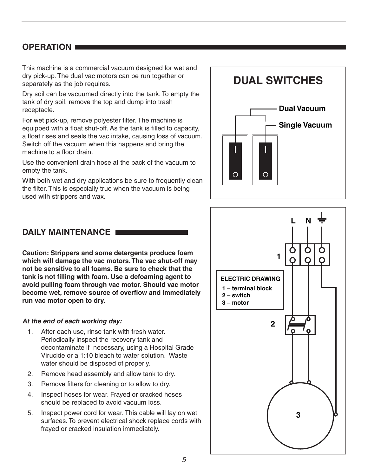## **OPERATION**

This machine is a commercial vacuum designed for wet and dry pick-up. The dual vac motors can be run together or separately as the job requires.

Dry soil can be vacuumed directly into the tank. To empty the tank of dry soil, remove the top and dump into trash receptacle.

For wet pick-up, remove polyester filter. The machine is equipped with a float shut-off. As the tank is filled to capacity, a float rises and seals the vac intake, causing loss of vacuum. Switch off the vacuum when this happens and bring the machine to a floor drain.

Use the convenient drain hose at the back of the vacuum to empty the tank.

With both wet and dry applications be sure to frequently clean the filter. This is especially true when the vacuum is being used with strippers and wax.

# **DUAL SWITCHES Dual Vacuum Single Vacuum** O

## **DAILY MAINTENANCE**

**Caution: Strippers and some detergents produce foam which will damage the vac motors.The vac shut-off may not be sensitive to all foams. Be sure to check that the tank is not filling with foam. Use a defoaming agent to avoid pulling foam through vac motor. Should vac motor become wet, remove source of overflow and immediately run vac motor open to dry.**

## *At the end of each working day:*

- 1. After each use, rinse tank with fresh water. Periodically inspect the recovery tank and decontaminate if necessary, using a Hospital Grade Virucide or a 1:10 bleach to water solution. Waste water should be disposed of properly.
- 2. Remove head assembly and allow tank to dry.
- 3. Remove filters for cleaning or to allow to dry.
- 4. Inspect hoses for wear. Frayed or cracked hoses should be replaced to avoid vacuum loss.
- 5. Inspect power cord for wear. This cable will lay on wet surfaces. To prevent electrical shock replace cords with frayed or cracked insulation immediately.

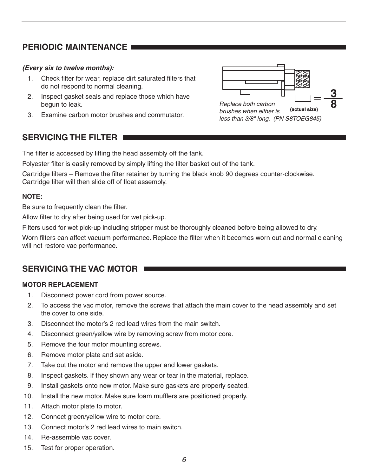## **PERIODIC MAINTENANCE**

## *(Every six to twelve months):*

- 1. Check filter for wear, replace dirt saturated filters that do not respond to normal cleaning.
- 2. Inspect gasket seals and replace those which have begun to leak.
- 3. Examine carbon motor brushes and commutator.



## **SERVICING THE FILTER**

The filter is accessed by lifting the head assembly off the tank.

Polyester filter is easily removed by simply lifting the filter basket out of the tank.

Cartridge filters – Remove the filter retainer by turning the black knob 90 degrees counter-clockwise. Cartridge filter will then slide off of float assembly.

## **NOTE:**

Be sure to frequently clean the filter.

Allow filter to dry after being used for wet pick-up.

Filters used for wet pick-up including stripper must be thoroughly cleaned before being allowed to dry.

Worn filters can affect vacuum performance. Replace the filter when it becomes worn out and normal cleaning will not restore vac performance.

## **SERVICING THE VAC MOTOR**

## **MOTOR REPLACEMENT**

- 1. Disconnect power cord from power source.
- 2. To access the vac motor, remove the screws that attach the main cover to the head assembly and set the cover to one side.
- 3. Disconnect the motor's 2 red lead wires from the main switch.
- 4. Disconnect green/yellow wire by removing screw from motor core.
- 5. Remove the four motor mounting screws.
- 6. Remove motor plate and set aside.
- 7. Take out the motor and remove the upper and lower gaskets.
- 8. Inspect gaskets. If they shown any wear or tear in the material, replace.
- 9. Install gaskets onto new motor. Make sure gaskets are properly seated.
- 10. Install the new motor. Make sure foam mufflers are positioned properly.
- 11. Attach motor plate to motor.
- 12. Connect green/yellow wire to motor core.
- 13. Connect motor's 2 red lead wires to main switch.
- 14. Re-assemble vac cover.
- 15. Test for proper operation.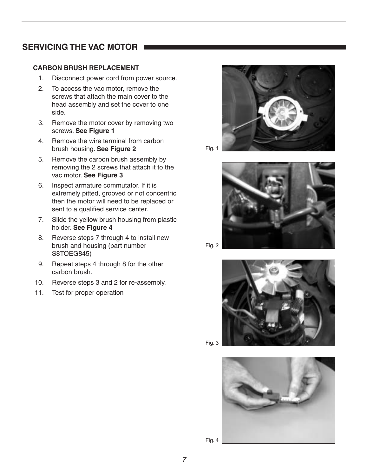## **SERVICING THE VAC MOTOR**

## **CARBON BRUSH REPLACEMENT**

- 1. Disconnect power cord from power source.
- 2. To access the vac motor, remove the screws that attach the main cover to the head assembly and set the cover to one side.
- 3. Remove the motor cover by removing two screws. **See Figure 1**
- 4. Remove the wire terminal from carbon brush housing. **See Figure 2**
- 5. Remove the carbon brush assembly by removing the 2 screws that attach it to the vac motor. **See Figure 3**
- 6. Inspect armature commutator. If it is extremely pitted, grooved or not concentric then the motor will need to be replaced or sent to a qualified service center.
- 7. Slide the yellow brush housing from plastic holder. **See Figure 4**
- 8. Reverse steps 7 through 4 to install new brush and housing (part number S8TOEG845)
- 9. Repeat steps 4 through 8 for the other carbon brush.
- 10. Reverse steps 3 and 2 for re-assembly.
- 11. Test for proper operation











Fig. 4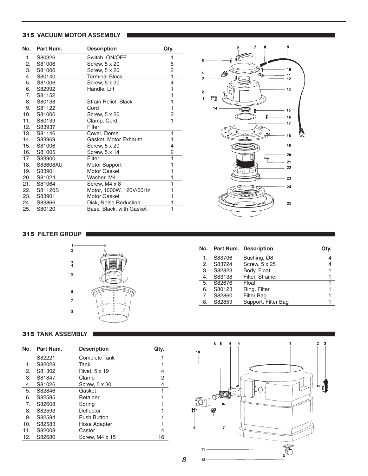#### **315 VACUUM MOTOR ASSEMBLY**

| No. | Part Num. | <b>Description</b>       | Qty. |
|-----|-----------|--------------------------|------|
| 1.  | S80326    | Switch, ON/OFF           | 1    |
| 2.  | S81006    | Screw, 5 x 20            | 5    |
| 3.  | S81006    | Screw, 5 x 20            | 2    |
| 4.  | S80140    | <b>Terminal Block</b>    | 1    |
| 5.  | S81006    | Screw, 5 x 20            | 4    |
| 6.  | S82992    | Handle, Lift             | 1    |
| 7.  | S81152    |                          | 1    |
| 8.  | S80138    | Strain Relief, Black     | 1    |
| 9.  | S81122    | Cord                     | 1    |
| 10. | S81006    | Screw, 5 x 20            | 2    |
| 11. | S80139    | Clamp, Cord              | 1    |
| 12. | S83937    | Filter                   |      |
| 13. | S81146    | Cover, Dome              | 1    |
| 14. | S83969    | Gasket, Motor Exhaust    | 1    |
| 15. | S81006    | Screw, 5 x 20            | 4    |
| 16. | S81005    | Screw, 5 x 14            | 2    |
| 17. | S83900    | Filter                   | 1    |
| 18. | S83608AU  | Motor Support            | 1    |
| 19. | S83901    | Motor Gasket             | 1    |
| 20. | S81024    | Washer, M4               | 1    |
| 21. | S81064    | Screw, M4 x 8            | 1    |
| 22. | S81120S   | Motor, 1000W, 120V/60Hz  | 1    |
| 23. | S83901    | Motor Gasket             | 1    |
| 24. | S83866    | Disk, Noise Reduction    | 1    |
| 25. | S80120    | Base, Black, with Gasket | 1    |



#### **315 FILTER GROUP**



|    |        | No. Part Num. Description | Qtv. |
|----|--------|---------------------------|------|
|    | S83706 | Bushing, Ø8               |      |
| 2. | S83724 | Screw, 5 x 25             |      |
| 3. | S82823 | Body, Float               |      |
| 4. | S83138 | Filter, Strainer          |      |
| 5. | S82676 | Float                     |      |
| 6. | S80123 | Ring, Filter              |      |
| 7. | S82860 | <b>Filter Bag</b>         |      |
| 8. | S82859 | Support, Filter Bag       |      |

#### **315 TANK ASSEMBLY**

| No. | Part Num. | <b>Description</b> | Qtv. |
|-----|-----------|--------------------|------|
|     | S82221    | Complete Tank      |      |
| 1.  | S82028    | Tank               |      |
| 2.  | S81302    | Rivet, 5 x 19      | 4    |
| З.  | S81847    | Clamp              | 2    |
| 4.  | S81026    | Screw, 5 x 30      | 4    |
| 5.  | S82846    | Gasket             |      |
| 6.  | S82585    | Retainer           |      |
| 7.  | S82608    | Spring             |      |
| 8.  | S82593    | Deflector          |      |
| 9.  | S82594    | <b>Push Button</b> |      |
| 10. | S82583    | Hose Adapter       |      |
| 11. | S82008    | Caster             | 4    |
| 12. | S82680    | Screw, M4 x 15     | 16   |

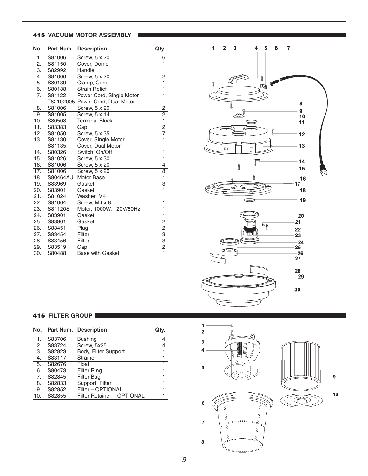#### **415 VACUUM MOTOR ASSEMBLY**

| No.              | Part Num. | <b>Description</b>               | Qty.           |
|------------------|-----------|----------------------------------|----------------|
| 1.               | S81006    | Screw, 5 x 20                    | 6              |
| 2.               | S81150    | Cover, Dome                      | 1              |
| 3.               | S82992    | Handle                           | $\mathbf{1}$   |
| 4.               | S81006    | Screw, 5 x 20                    | $\frac{2}{1}$  |
| $\overline{5}$ . | S80139    | Clamp, Cord                      |                |
| 6.               | S80138    | <b>Strain Relief</b>             | $\mathbf{1}$   |
| 7.               | S81122    | Power Cord, Single Motor         | 1              |
|                  |           | T82102005 Power Cord, Dual Motor |                |
| 8.               | S81006    | Screw, 5 x 20                    | $\overline{c}$ |
| 9.               | S81005    | Screw, 5 x 14                    | $\frac{2}{1}$  |
| 10.              | S80508    | <b>Terminal Block</b>            |                |
| 11.              | S83383    | Cap                              | $\frac{2}{7}$  |
| 12.              | S81050    | Screw, 5 x 35                    |                |
| 13.              | S81130    | Cover, Single Motor              | $\overline{1}$ |
|                  | S81135    | Cover, Dual Motor                |                |
| 14.              | S80326    | Switch, On/Off                   | 1              |
| 15.              | S81026    | Screw, 5 x 30                    | 1              |
| 16.              | S81006    | Screw, 5 x 20                    | 4              |
| 17.              | S81006    | Screw, 5 x 20                    | $\overline{8}$ |
| 18.              | S80464AU  | Motor Base                       | 1              |
| 19.              | S83969    | Gasket                           | 3              |
| 20.              | S83901    | Gasket                           | $\mathbf{1}$   |
| 21.              | S81024    | Washer, M4                       | $\overline{1}$ |
| 22.              | S81064    | Screw, M4 x 8                    | 1              |
| 23.              | S81120S   | Motor, 1000W, 120V/60Hz          | $\mathbf{1}$   |
| 24.              | S83901    | Gasket                           | 1              |
| 25.              | S83901    | Gasket                           | $\overline{2}$ |
| 26.              | S83451    | Plug                             | $\overline{c}$ |
| 27.              | S83454    | Filter                           |                |
| 28.              | S83456    | Filter                           | $\frac{3}{2}$  |
| 29.              | S83519    | $\overline{Cap}$                 |                |
| 30.              | S80488    | <b>Base with Gasket</b>          | $\overline{1}$ |



## **415 FILTER GROUP**

| No. |        | <b>Part Num. Description</b> | Qtv. |
|-----|--------|------------------------------|------|
| 1.  | S83706 | <b>Bushing</b>               | 4    |
| 2.  | S83724 | Screw, 5x25                  | 4    |
| 3.  | S82823 | Body, Filter Support         |      |
| 4.  | S83117 | Strainer                     | 1    |
| 5.  | S82676 | Float                        | 1    |
| 6.  | S80473 | <b>Filter Ring</b>           |      |
| 7.  | S82845 | <b>Filter Bag</b>            |      |
| 8.  | S82833 | Support, Filter              |      |
| 9.  | S82852 | Filter - OPTIONAL            | 1    |
| 10. | S82855 | Filter Retainer - OPTIONAL   |      |

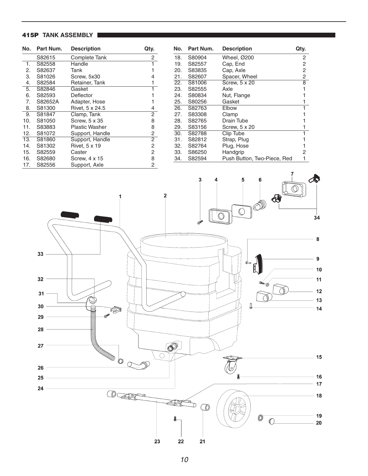## **415P TANK ASSEMBLY**

| No. | Part Num. | <b>Description</b>    | Qty. |
|-----|-----------|-----------------------|------|
|     | S82615    | Complete Tank         | 2    |
| 1.  | S82558    | Handle                | 1    |
| 2.  | S82637    | Tank                  | 1    |
| 3.  | S81026    | Screw, 5x30           | 4    |
| 4.  | S82584    | Retainer, Tank        | 1    |
| 5.  | S82846    | Gasket                | 1    |
| 6.  | S82593    | Deflector             |      |
| 7.  | S82652A   | Adapter, Hose         |      |
| 8.  | S81300    | Rivet, 5 x 24.5       | 4    |
| 9.  | S81847    | Clamp, Tank           | 2    |
| 10. | S81050    | Screw, 5 x 35         | 8    |
| 11. | S83883    | <b>Plastic Washer</b> | 8    |
| 12. | S81072    | Support, Handle       | 2    |
| 13. | S81860    | Support, Handle       | 2    |
| 14. | S81302    | Rivet, 5 x 19         | 2    |
| 15. | S82559    | Caster                | 2    |
| 16. | S82680    | Screw, 4 x 15         | 8    |
| 17. | S82556    | Support, Axle         | 2    |

| No. | Part Num. | <b>Description</b>          | Qty. |
|-----|-----------|-----------------------------|------|
| 18. | S80904    | Wheel, Ø200                 | 2    |
| 19. | S82557    | Cap, End                    | 2    |
| 20. | S83835    | Cap, Axle                   | 2    |
| 21. | S82607    | Spacer, Wheel               | 2    |
| 22. | S81006    | Screw, 5 x 20               | 8    |
| 23. | S82555    | Axle                        |      |
| 24. | S80834    | Nut, Flange                 |      |
| 25. | S80256    | Gasket                      |      |
| 26. | S82763    | Elbow                       |      |
| 27. | S83308    | Clamp                       |      |
| 28. | S82765    | Drain Tube                  |      |
| 29. | S83156    | Screw, 5 x 20               |      |
| 30. | S82788    | Clip Tube                   |      |
| 31. | S82812    | Strap, Plug                 |      |
| 32. | S82764    | Plug, Hose                  |      |
| 33. | S86250    | Handgrip                    | 2    |
| 34. | S82594    | Push Button, Two-Piece, Red |      |

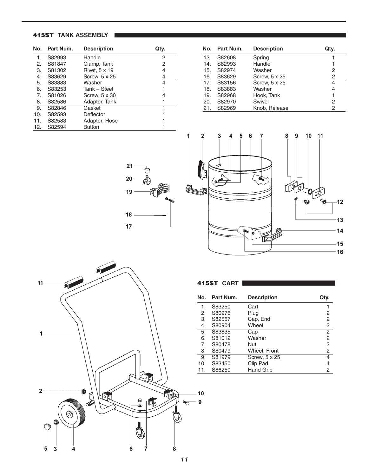## **415ST TANK ASSEMBLY**

| No. | Part Num. | <b>Description</b> | Qtv. |
|-----|-----------|--------------------|------|
| 1.  | S82993    | Handle             | 2    |
| 2.  | S81847    | Clamp, Tank        | 2    |
| З.  | S81302    | Rivet, 5 x 19      | 4    |
| 4.  | S83629    | Screw, 5 x 25      | 4    |
| 5.  | S83883    | Washer             | 4    |
| 6.  | S83253    | Tank - Steel       |      |
| 7.  | S81026    | Screw, 5 x 30      | 4    |
| 8.  | S82586    | Adapter, Tank      |      |
| 9.  | S82846    | Gasket             | 1    |
| 10. | S82593    | Deflector          |      |
| 11. | S82583    | Adapter, Hose      |      |
| 12. | S82594    | <b>Button</b>      |      |

| No. | Part Num. | <b>Description</b> | Qtv. |
|-----|-----------|--------------------|------|
| 13. | S82608    | Spring             |      |
| 14. | S82993    | Handle             |      |
| 15. | S82974    | Washer             | 2    |
| 16. | S83629    | Screw, 5 x 25      | 2    |
| 17. | S83156    | Screw, 5 x 25      | 4    |
| 18. | S83883    | Washer             | 4    |
| 19. | S82968    | Hook, Tank         |      |
| 20. | S82970    | Swivel             | 2    |
| 21. | S82969    | Knob, Release      | 2    |





| 11 <sub>1</sub> |                                  |    |                    | 41                                 |
|-----------------|----------------------------------|----|--------------------|------------------------------------|
|                 |                                  |    |                    | No                                 |
|                 |                                  |    |                    |                                    |
|                 |                                  |    |                    |                                    |
| 1               |                                  |    |                    |                                    |
|                 |                                  |    |                    |                                    |
|                 |                                  |    |                    | 1. 2. 3. 4. 5. 6. 7. 8. 9. 10. 11. |
|                 |                                  |    | O                  |                                    |
| 2               | í                                | o, |                    | 10<br>硒                            |
|                 | Ó                                |    | $\Theta$<br>刚<br>⊜ | 9<br>↜                             |
|                 | $\circledcirc$<br>$\circledcirc$ |    | ਠ                  | ৽                                  |
| $\mathbb{O}$    |                                  |    | ٯا                 |                                    |
| 5               | 3<br>4                           | 6  | 7                  | 8                                  |

| 415ST CART |           |                    |                |  |
|------------|-----------|--------------------|----------------|--|
| No.        | Part Num. | <b>Description</b> | Qtv.           |  |
| 1.         | S83250    | Cart               |                |  |
| 2.         | S80976    | Plug               | 2              |  |
| З.         | S82557    | Cap, End           | 2              |  |
| 4.         | S80904    | Wheel              | $\overline{c}$ |  |
| 5.         | S83835    | Cap                | 2              |  |
| 6.         | S81012    | Washer             | $\overline{c}$ |  |
| 7.         | S80478    | Nut                | $\overline{c}$ |  |
| 8.         | S80479    | Wheel, Front       | 2              |  |
| 9.         | S81979    | Screw, 5 x 25      | 4              |  |
| 10.        | S83450    | Clip Pad           | 4              |  |
| 11.        | S86250    | <b>Hand Grip</b>   | 2              |  |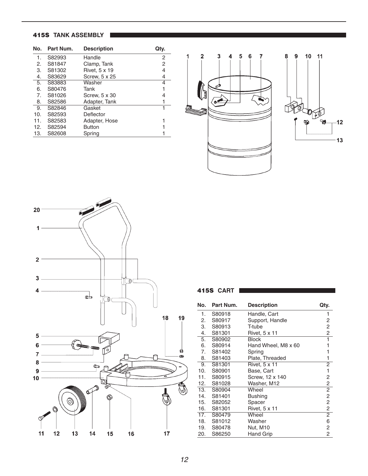## **415S TANK ASSEMBLY**

| No. | Part Num. | <b>Description</b> | Qty. |
|-----|-----------|--------------------|------|
| 1.  | S82993    | Handle             | 2    |
| 2.  | S81847    | Clamp, Tank        | 2    |
| 3.  | S81302    | Rivet, 5 x 19      | 4    |
| 4.  | S83629    | Screw, 5 x 25      | 4    |
| 5.  | S83883    | Washer             | 4    |
| 6.  | S80476    | Tank               |      |
| 7.  | S81026    | Screw, 5 x 30      | 4    |
| 8.  | S82586    | Adapter, Tank      |      |
| 9.  | S82846    | Gasket             | 1    |
| 10. | S82593    | Deflector          |      |
| 11. | S82583    | Adapter, Hose      |      |
| 12. | S82594    | <b>Button</b>      |      |
| 13. | S82608    | Spring             |      |







| No. | Part Num. | <b>Description</b>  | Qty.           |
|-----|-----------|---------------------|----------------|
| 1.  | S80918    | Handle, Cart        | 1              |
| 2.  | S80917    | Support, Handle     | 2              |
| 3.  | S80913    | T-tube              | 2              |
| 4.  | S81301    | Rivet, 5 x 11       | $\overline{c}$ |
| 5.  | S80902    | <b>Block</b>        | 1              |
| 6.  | S80914    | Hand Wheel, M8 x 60 | 1              |
| 7.  | S81402    | Spring              | 1              |
| 8.  | S81403    | Plate, Threaded     | 1              |
| 9.  | S81301    | Rivet, 5 x 11       | 2              |
| 10. | S80901    | Base, Cart          | 1              |
| 11. | S80915    | Screw, 12 x 140     | 2              |
| 12. | S81028    | Washer, M12         | 2              |
| 13. | S80904    | Wheel               | $\overline{2}$ |
| 14. | S81401    | <b>Bushing</b>      | $\overline{c}$ |
| 15. | S82052    | Spacer              | $\overline{c}$ |
| 16. | S81301    | Rivet, 5 x 11       | $\overline{c}$ |
| 17. | S80479    | Wheel               | $\overline{2}$ |
| 18. | S81012    | Washer              | 6              |
| 19. | S80478    | <b>Nut, M10</b>     | 2              |
| 20. | S86250    | Hand Grip           | 2              |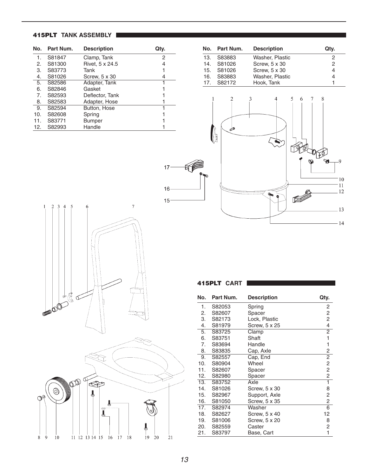## **415PLT TANK ASSEMBLY**

| No. | Part Num. | <b>Description</b> | Qtv. |
|-----|-----------|--------------------|------|
| 1.  | S81847    | Clamp, Tank        | 2    |
| 2.  | S81300    | Rivet, 5 x 24.5    | 4    |
| З.  | S83773    | Tank               |      |
| 4.  | S81026    | Screw, 5 x 30      | 4    |
| 5.  | S82586    | Adapter, Tank      | 1    |
| 6.  | S82846    | Gasket             |      |
| 7.  | S82593    | Deflector, Tank    |      |
| 8.  | S82583    | Adapter, Hose      |      |
| 9.  | S82594    | Button, Hose       | 1    |
| 10. | S82608    | Spring             |      |
| 11. | S83771    | Bumper             |      |
| 12. | S82993    | Handle             |      |

|                 | No. Part Num. | <b>Description</b> | Qtv.          |
|-----------------|---------------|--------------------|---------------|
| 13.             | S83883        | Washer, Plastic    |               |
| 14 <sub>1</sub> | S81026        | Screw, 5 x 30      | $\mathcal{P}$ |
|                 | 15. S81026    | Screw, 5 x 30      |               |
|                 | 16. S83883    | Washer, Plastic    |               |
|                 | 17. S82172    | Hook, Tank         |               |







| No. | Part Num. | <b>Description</b> | Qty.                    |
|-----|-----------|--------------------|-------------------------|
| 1.  | S82053    | Spring             | 2                       |
| 2.  | S82607    | Spacer             | $\overline{c}$          |
| 3.  | S82173    | Lock, Plastic      | $\overline{c}$          |
| 4.  | S81979    | Screw, 5 x 25      | $\overline{\mathbf{4}}$ |
| 5.  | S83725    | Clamp              | $\overline{2}$          |
| 6.  | S83751    | Shaft              | 1                       |
| 7.  | S83694    | Handle             | 1                       |
| 8.  | S83835    | Cap, Axle          | $\overline{\mathbf{c}}$ |
| 9.  | S82557    | Cap, End           | $\overline{2}$          |
| 10. | S80904    | Wheel              | $\overline{c}$          |
| 11. | S82607    | Spacer             | $\overline{c}$          |
| 12. | S82980    | Spacer             | $\overline{c}$          |
| 13. | S83752    | Axle               | $\overline{1}$          |
| 14. | S81026    | Screw, 5 x 30      | 8                       |
| 15. | S82967    | Support, Axle      | 2                       |
| 16. | S81050    | Screw, 5 x 35      | $\overline{c}$          |
| 17. | S82974    | Washer             | $\overline{6}$          |
| 18. | S82627    | Screw, 5 x 40      | 12                      |
| 19. | S81006    | Screw, 5 x 20      | 8                       |
| 20. | S82559    | Caster             | 2                       |
| 21. | S83797    | Base, Cart         | 1                       |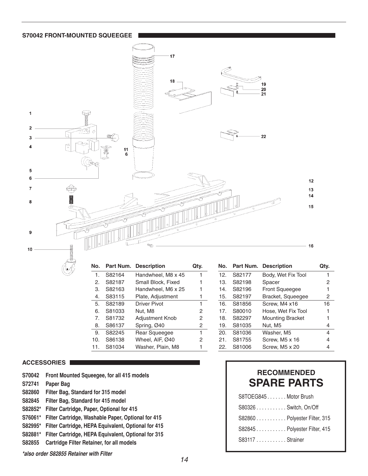#### **S70042 FRONT-MOUNTED SQUEEGEE**



| No.            | Part Num. | <b>Description</b> | Qtv. |
|----------------|-----------|--------------------|------|
| 1.             | S82164    | Handwheel, M8 x 45 |      |
| 2.             | S82187    | Small Block, Fixed |      |
| З.             | S82163    | Handwheel, M6 x 25 |      |
| 4.             | S83115    | Plate, Adjustment  |      |
| 5.             | S82189    | Driver Pivot       | 1    |
| 6.             | S81033    | Nut, M8            | 2    |
| 7 <sub>1</sub> | S81732    | Adjustment Knob    | 2    |
| 8.             | S86137    | Spring, Ø40        | 2    |
| 9.             | S82245    | Rear Squeegee      | 1    |
| 10.            | S86138    | Wheel, AIF, Ø40    | 2    |
| 11.            | S81034    | Washer, Plain, M8  |      |

| No. | Part Num. | <b>Description</b>      |    |
|-----|-----------|-------------------------|----|
| 12. | S82177    | Body, Wet Fix Tool      | 1  |
| 13. | S82198    | Spacer                  | 2  |
| 14. | S82196    | Front Squeegee          | 1  |
| 15. | S82197    | Bracket, Squeegee       | 2  |
| 16. | S81856    | Screw, M4 x16           | 16 |
| 17. | S80010    | Hose, Wet Fix Tool      | 1  |
| 18. | S82297    | <b>Mounting Bracket</b> | 1  |
| 19. | S81035    | Nut, M5                 | 4  |
| 20. | S81036    | Washer, M5              | 4  |
| 21. | S81755    | Screw, M5 x 16          | 4  |
| 22. | S81006    | Screw, M5 x 20          | 4  |

#### **ACCESSORIES**

| Front Mounted Squeegee, for all 415 models |  |
|--------------------------------------------|--|
|                                            |  |

- **S72741 Paper Bag**
- **S82860 Filter Bag, Standard for 315 model**
- **S82845 Filter Bag, Standard for 415 model**
- **S82852\* Filter Cartridge, Paper, Optional for 415**
- **S76061\* Filter Cartridge, Washable Paper, Optional for 415**
- **S82995\* Filter Cartridge, HEPA Equivalent, Optional for 415**
- **S82881\* Filter Cartridge, HEPA Equivalent, Optional for 315**
- **S82855 Cartridge Filter Retainer, for all models**

*\*also order S82855 Retainer with Filter*

### 14

| <b>RECOMMENDED</b> |  |  |
|--------------------|--|--|
| <b>SPARE PARTS</b> |  |  |

| S8TOEG845Motor Brush         |  |
|------------------------------|--|
| S80326 Switch, On/Off        |  |
| S82860 Polyester Filter, 315 |  |
| S82845 Polyester Filter, 415 |  |
| S83117 Strainer              |  |